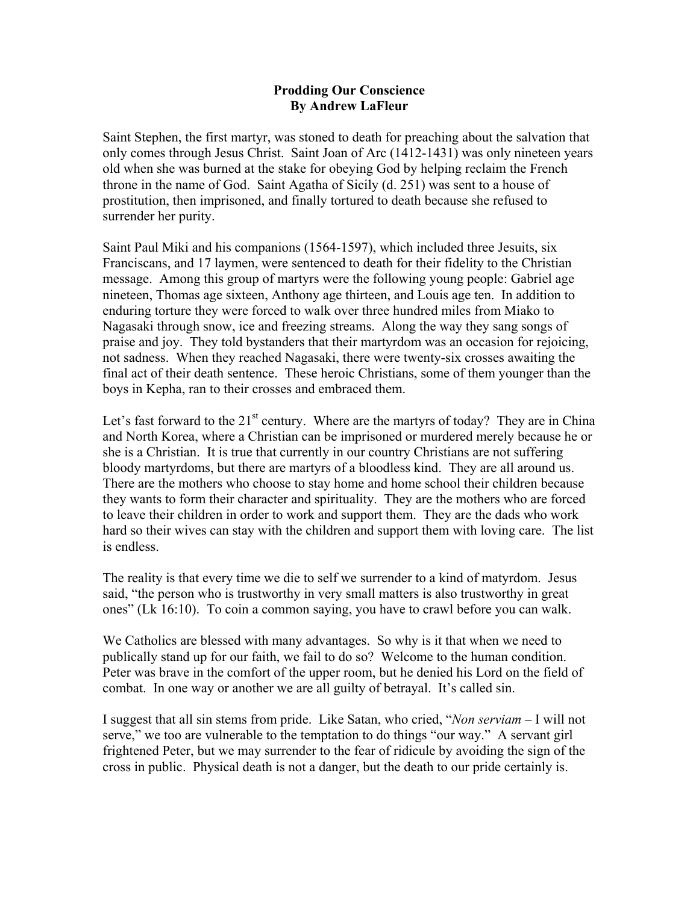## **Prodding Our Conscience By Andrew LaFleur**

Saint Stephen, the first martyr, was stoned to death for preaching about the salvation that only comes through Jesus Christ. Saint Joan of Arc (1412-1431) was only nineteen years old when she was burned at the stake for obeying God by helping reclaim the French throne in the name of God. Saint Agatha of Sicily (d. 251) was sent to a house of prostitution, then imprisoned, and finally tortured to death because she refused to surrender her purity.

Saint Paul Miki and his companions (1564-1597), which included three Jesuits, six Franciscans, and 17 laymen, were sentenced to death for their fidelity to the Christian message. Among this group of martyrs were the following young people: Gabriel age nineteen, Thomas age sixteen, Anthony age thirteen, and Louis age ten. In addition to enduring torture they were forced to walk over three hundred miles from Miako to Nagasaki through snow, ice and freezing streams. Along the way they sang songs of praise and joy. They told bystanders that their martyrdom was an occasion for rejoicing, not sadness. When they reached Nagasaki, there were twenty-six crosses awaiting the final act of their death sentence. These heroic Christians, some of them younger than the boys in Kepha, ran to their crosses and embraced them.

Let's fast forward to the  $21<sup>st</sup>$  century. Where are the martyrs of today? They are in China and North Korea, where a Christian can be imprisoned or murdered merely because he or she is a Christian. It is true that currently in our country Christians are not suffering bloody martyrdoms, but there are martyrs of a bloodless kind. They are all around us. There are the mothers who choose to stay home and home school their children because they wants to form their character and spirituality. They are the mothers who are forced to leave their children in order to work and support them. They are the dads who work hard so their wives can stay with the children and support them with loving care. The list is endless.

The reality is that every time we die to self we surrender to a kind of matyrdom. Jesus said, "the person who is trustworthy in very small matters is also trustworthy in great ones" (Lk 16:10). To coin a common saying, you have to crawl before you can walk.

We Catholics are blessed with many advantages. So why is it that when we need to publically stand up for our faith, we fail to do so? Welcome to the human condition. Peter was brave in the comfort of the upper room, but he denied his Lord on the field of combat. In one way or another we are all guilty of betrayal. It's called sin.

I suggest that all sin stems from pride. Like Satan, who cried, "*Non serviam* – I will not serve," we too are vulnerable to the temptation to do things "our way." A servant girl frightened Peter, but we may surrender to the fear of ridicule by avoiding the sign of the cross in public. Physical death is not a danger, but the death to our pride certainly is.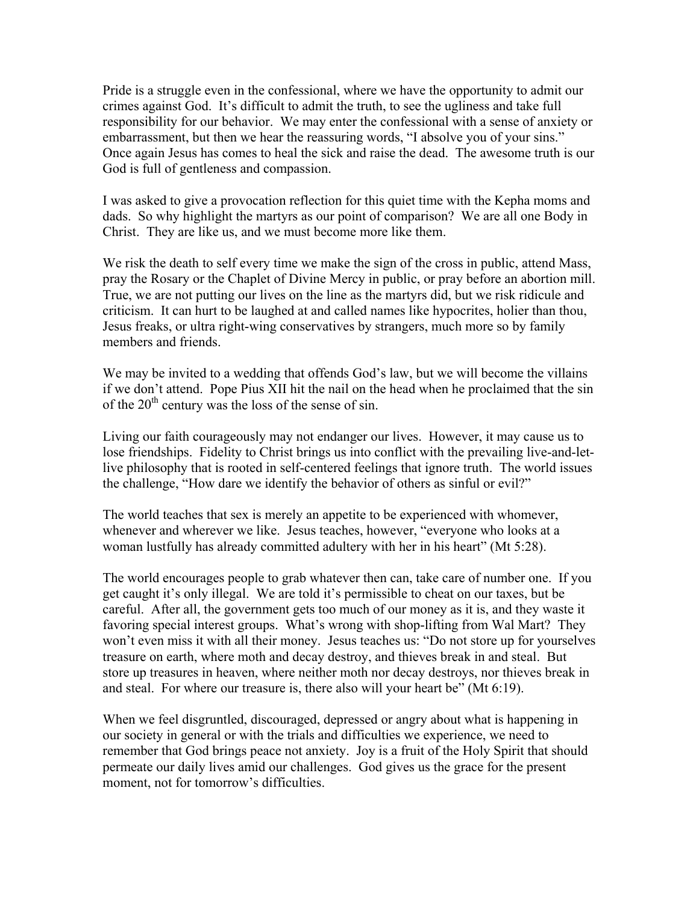Pride is a struggle even in the confessional, where we have the opportunity to admit our crimes against God. It's difficult to admit the truth, to see the ugliness and take full responsibility for our behavior. We may enter the confessional with a sense of anxiety or embarrassment, but then we hear the reassuring words, "I absolve you of your sins." Once again Jesus has comes to heal the sick and raise the dead. The awesome truth is our God is full of gentleness and compassion.

I was asked to give a provocation reflection for this quiet time with the Kepha moms and dads. So why highlight the martyrs as our point of comparison? We are all one Body in Christ. They are like us, and we must become more like them.

We risk the death to self every time we make the sign of the cross in public, attend Mass, pray the Rosary or the Chaplet of Divine Mercy in public, or pray before an abortion mill. True, we are not putting our lives on the line as the martyrs did, but we risk ridicule and criticism. It can hurt to be laughed at and called names like hypocrites, holier than thou, Jesus freaks, or ultra right-wing conservatives by strangers, much more so by family members and friends.

We may be invited to a wedding that offends God's law, but we will become the villains if we don't attend. Pope Pius XII hit the nail on the head when he proclaimed that the sin of the  $20<sup>th</sup>$  century was the loss of the sense of sin.

Living our faith courageously may not endanger our lives. However, it may cause us to lose friendships. Fidelity to Christ brings us into conflict with the prevailing live-and-letlive philosophy that is rooted in self-centered feelings that ignore truth. The world issues the challenge, "How dare we identify the behavior of others as sinful or evil?"

The world teaches that sex is merely an appetite to be experienced with whomever, whenever and wherever we like. Jesus teaches, however, "everyone who looks at a woman lustfully has already committed adultery with her in his heart" (Mt 5:28).

The world encourages people to grab whatever then can, take care of number one. If you get caught it's only illegal. We are told it's permissible to cheat on our taxes, but be careful. After all, the government gets too much of our money as it is, and they waste it favoring special interest groups. What's wrong with shop-lifting from Wal Mart? They won't even miss it with all their money. Jesus teaches us: "Do not store up for yourselves treasure on earth, where moth and decay destroy, and thieves break in and steal. But store up treasures in heaven, where neither moth nor decay destroys, nor thieves break in and steal. For where our treasure is, there also will your heart be" (Mt 6:19).

When we feel disgruntled, discouraged, depressed or angry about what is happening in our society in general or with the trials and difficulties we experience, we need to remember that God brings peace not anxiety. Joy is a fruit of the Holy Spirit that should permeate our daily lives amid our challenges. God gives us the grace for the present moment, not for tomorrow's difficulties.